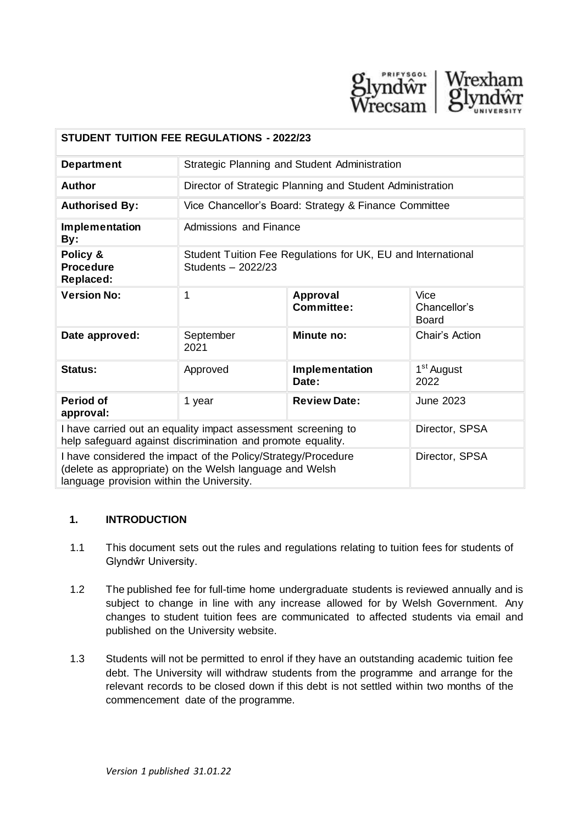

| <b>STUDENT TUITION FEE REGULATIONS - 2022/23</b>                                                                                                                                        |                                                                                    |                         |                                      |  |
|-----------------------------------------------------------------------------------------------------------------------------------------------------------------------------------------|------------------------------------------------------------------------------------|-------------------------|--------------------------------------|--|
| <b>Department</b>                                                                                                                                                                       | Strategic Planning and Student Administration                                      |                         |                                      |  |
| <b>Author</b>                                                                                                                                                                           | Director of Strategic Planning and Student Administration                          |                         |                                      |  |
| <b>Authorised By:</b>                                                                                                                                                                   | Vice Chancellor's Board: Strategy & Finance Committee                              |                         |                                      |  |
| Implementation<br>By:                                                                                                                                                                   | <b>Admissions and Finance</b>                                                      |                         |                                      |  |
| Policy &<br><b>Procedure</b><br><b>Replaced:</b>                                                                                                                                        | Student Tuition Fee Regulations for UK, EU and International<br>Students - 2022/23 |                         |                                      |  |
| <b>Version No:</b>                                                                                                                                                                      | 1                                                                                  | Approval<br>Committee:  | Vice<br>Chancellor's<br><b>Board</b> |  |
| Date approved:                                                                                                                                                                          | September<br>2021                                                                  | Minute no:              | Chair's Action                       |  |
| <b>Status:</b>                                                                                                                                                                          | Approved                                                                           | Implementation<br>Date: | 1 <sup>st</sup> August<br>2022       |  |
| <b>Period of</b><br>approval:                                                                                                                                                           | 1 year                                                                             | <b>Review Date:</b>     | <b>June 2023</b>                     |  |
| I have carried out an equality impact assessment screening to<br>help safeguard against discrimination and promote equality.                                                            |                                                                                    |                         | Director, SPSA                       |  |
| I have considered the impact of the Policy/Strategy/Procedure<br>Director, SPSA<br>(delete as appropriate) on the Welsh language and Welsh<br>language provision within the University. |                                                                                    |                         |                                      |  |

#### **1. INTRODUCTION**

- 1.1 This document sets out the rules and regulations relating to tuition fees for students of Glyndŵr University.
- 1.2 The published fee for full-time home undergraduate students is reviewed annually and is subject to change in line with any increase allowed for by Welsh Government. Any changes to student tuition fees are communicated to affected students via email and published on the University website.
- 1.3 Students will not be permitted to enrol if they have an outstanding academic tuition fee debt. The University will withdraw students from the programme and arrange for the relevant records to be closed down if this debt is not settled within two months of the commencement date of the programme.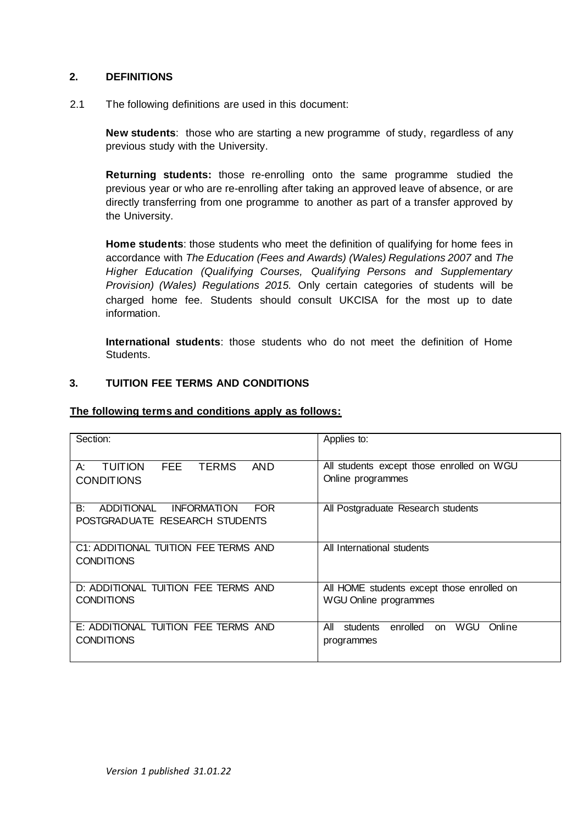#### **2. DEFINITIONS**

2.1 The following definitions are used in this document:

 previous study with the University. **New students**: those who are starting a new programme of study, regardless of any

**Returning students:** those re-enrolling onto the same programme studied the previous year or who are re-enrolling after taking an approved leave of absence, or are directly transferring from one programme to another as part of a transfer approved by the University.

**Home students**: those students who meet the definition of qualifying for home fees in accordance with *The Education (Fees and Awards) (Wales) Regulations 2007* and *The Higher Education (Qualifying Courses, Qualifying Persons and Supplementary Provision) (Wales) Regulations 2015.* Only certain categories of students will be charged home fee. Students should consult UKCISA for the most up to date information.

**International students**: those students who do not meet the definition of Home Students.

#### **3. TUITION FEE TERMS AND CONDITIONS**

#### **The following terms and conditions apply as follows:**

| Section:                                                                               | Applies to:                                                             |
|----------------------------------------------------------------------------------------|-------------------------------------------------------------------------|
| <b>TERMS</b><br><b>TUITION</b><br><b>FEE</b><br>AND<br>A:<br><b>CONDITIONS</b>         | All students except those enrolled on WGU<br>Online programmes          |
| ADDITIONAL<br><b>INFORMATION</b><br>B:<br><b>FOR</b><br>POSTGRADUATE RESEARCH STUDENTS | All Postgraduate Research students                                      |
| C1: ADDITIONAL TUITION FEE TERMS AND<br><b>CONDITIONS</b>                              | All International students                                              |
| D: ADDITIONAL TUITION FEE TERMS AND<br><b>CONDITIONS</b>                               | All HOME students except those enrolled on<br>WGU Online programmes     |
| E: ADDITIONAL TUITION FEE TERMS AND<br><b>CONDITIONS</b>                               | All<br>enrolled<br>WGU<br>students<br>Online<br><b>on</b><br>programmes |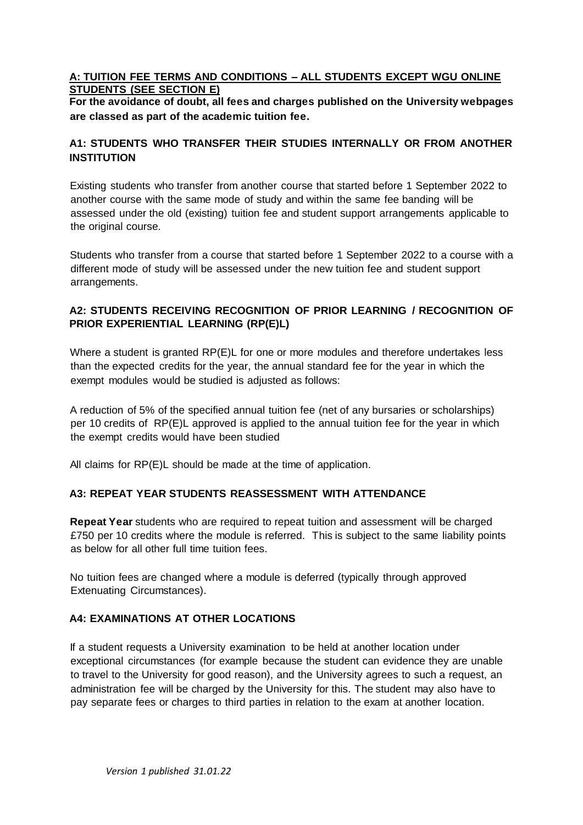### **A: TUITION FEE TERMS AND CONDITIONS – ALL STUDENTS EXCEPT WGU ONLINE STUDENTS (SEE SECTION E)**

**For the avoidance of doubt, all fees and charges published on the University webpages are classed as part of the academic tuition fee.** 

# **A1: STUDENTS WHO TRANSFER THEIR STUDIES INTERNALLY OR FROM ANOTHER INSTITUTION**

Existing students who transfer from another course that started before 1 September 2022 to another course with the same mode of study and within the same fee banding will be assessed under the old (existing) tuition fee and student support arrangements applicable to the original course.

Students who transfer from a course that started before 1 September 2022 to a course with a different mode of study will be assessed under the new tuition fee and student support arrangements.

# **A2: STUDENTS RECEIVING RECOGNITION OF PRIOR LEARNING / RECOGNITION OF PRIOR EXPERIENTIAL LEARNING (RP(E)L)**

Where a student is granted RP(E)L for one or more modules and therefore undertakes less than the expected credits for the year, the annual standard fee for the year in which the exempt modules would be studied is adjusted as follows:

A reduction of 5% of the specified annual tuition fee (net of any bursaries or scholarships) per 10 credits of RP(E)L approved is applied to the annual tuition fee for the year in which the exempt credits would have been studied

All claims for RP(E)L should be made at the time of application.

# **A3: REPEAT YEAR STUDENTS REASSESSMENT WITH ATTENDANCE**

**Repeat Year** students who are required to repeat tuition and assessment will be charged £750 per 10 credits where the module is referred. This is subject to the same liability points as below for all other full time tuition fees.

No tuition fees are changed where a module is deferred (typically through approved Extenuating Circumstances).

# **A4: EXAMINATIONS AT OTHER LOCATIONS**

If a student requests a University examination to be held at another location under exceptional circumstances (for example because the student can evidence they are unable to travel to the University for good reason), and the University agrees to such a request, an administration fee will be charged by the University for this. The student may also have to pay separate fees or charges to third parties in relation to the exam at another location.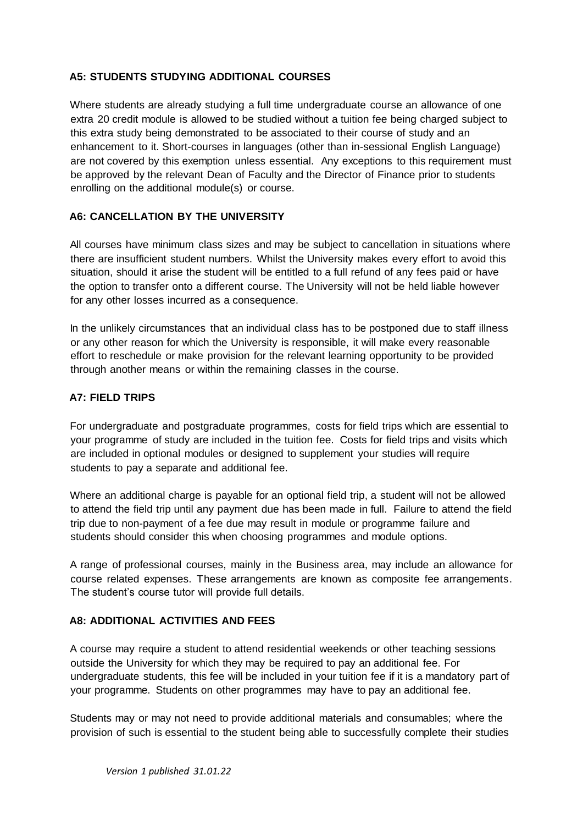# **A5: STUDENTS STUDYING ADDITIONAL COURSES**

Where students are already studying a full time undergraduate course an allowance of one extra 20 credit module is allowed to be studied without a tuition fee being charged subject to this extra study being demonstrated to be associated to their course of study and an enhancement to it. Short-courses in languages (other than in-sessional English Language) are not covered by this exemption unless essential. Any exceptions to this requirement must be approved by the relevant Dean of Faculty and the Director of Finance prior to students enrolling on the additional module(s) or course.

# **A6: CANCELLATION BY THE UNIVERSITY**

All courses have minimum class sizes and may be subject to cancellation in situations where there are insufficient student numbers. Whilst the University makes every effort to avoid this situation, should it arise the student will be entitled to a full refund of any fees paid or have the option to transfer onto a different course. The University will not be held liable however for any other losses incurred as a consequence.

In the unlikely circumstances that an individual class has to be postponed due to staff illness or any other reason for which the University is responsible, it will make every reasonable effort to reschedule or make provision for the relevant learning opportunity to be provided through another means or within the remaining classes in the course.

# **A7: FIELD TRIPS**

For undergraduate and postgraduate programmes, costs for field trips which are essential to your programme of study are included in the tuition fee. Costs for field trips and visits which are included in optional modules or designed to supplement your studies will require students to pay a separate and additional fee.

Where an additional charge is payable for an optional field trip, a student will not be allowed to attend the field trip until any payment due has been made in full. Failure to attend the field trip due to non-payment of a fee due may result in module or programme failure and students should consider this when choosing programmes and module options.

A range of professional courses, mainly in the Business area, may include an allowance for course related expenses. These arrangements are known as composite fee arrangements. The student's course tutor will provide full details.

### **A8: ADDITIONAL ACTIVITIES AND FEES**

A course may require a student to attend residential weekends or other teaching sessions outside the University for which they may be required to pay an additional fee. For undergraduate students, this fee will be included in your tuition fee if it is a mandatory part of your programme. Students on other programmes may have to pay an additional fee.

Students may or may not need to provide additional materials and consumables; where the provision of such is essential to the student being able to successfully complete their studies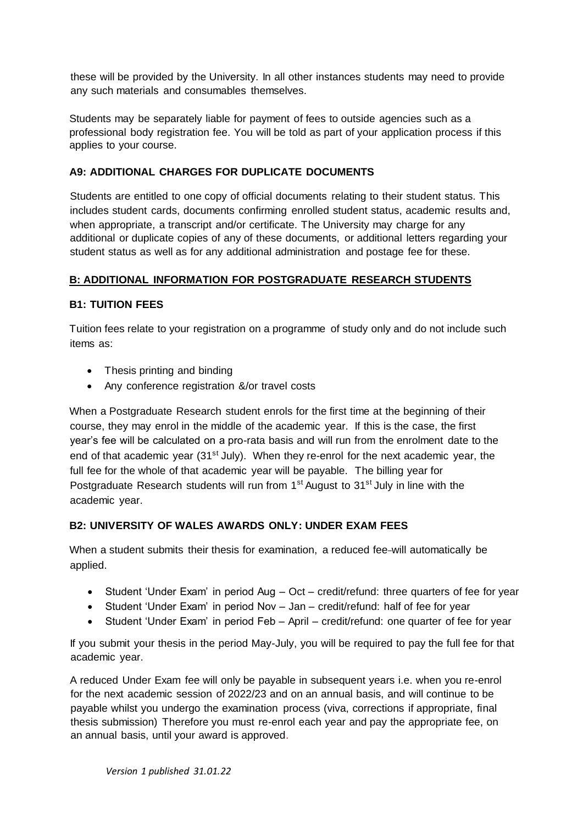these will be provided by the University. In all other instances students may need to provide any such materials and consumables themselves.

Students may be separately liable for payment of fees to outside agencies such as a professional body registration fee. You will be told as part of your application process if this applies to your course.

# **A9: ADDITIONAL CHARGES FOR DUPLICATE DOCUMENTS**

Students are entitled to one copy of official documents relating to their student status. This includes student cards, documents confirming enrolled student status, academic results and, when appropriate, a transcript and/or certificate. The University may charge for any additional or duplicate copies of any of these documents, or additional letters regarding your student status as well as for any additional administration and postage fee for these.

# **B: ADDITIONAL INFORMATION FOR POSTGRADUATE RESEARCH STUDENTS**

#### **B1: TUITION FEES**

Tuition fees relate to your registration on a programme of study only and do not include such items as:

- Thesis printing and binding
- Any conference registration &/or travel costs

When a Postgraduate Research student enrols for the first time at the beginning of their course, they may enrol in the middle of the academic year. If this is the case, the first year's fee will be calculated on a pro-rata basis and will run from the enrolment date to the end of that academic year (31<sup>st</sup> July). When they re-enrol for the next academic year, the full fee for the whole of that academic year will be payable. The billing year for Postgraduate Research students will run from  $1<sup>st</sup>$  August to  $31<sup>st</sup>$  July in line with the academic year.

#### **B2: UNIVERSITY OF WALES AWARDS ONLY: UNDER EXAM FEES**

When a student submits their thesis for examination, a reduced fee-will automatically be applied.

- Student 'Under Exam' in period Aug Oct credit/refund: three quarters of fee for year
- Student 'Under Exam' in period Nov Jan credit/refund: half of fee for year
- Student 'Under Exam' in period Feb April credit/refund: one quarter of fee for year

If you submit your thesis in the period May-July, you will be required to pay the full fee for that academic year.

A reduced Under Exam fee will only be payable in subsequent years i.e. when you re-enrol for the next academic session of 2022/23 and on an annual basis, and will continue to be payable whilst you undergo the examination process (viva, corrections if appropriate, final thesis submission) Therefore you must re-enrol each year and pay the appropriate fee, on an annual basis, until your award is approved.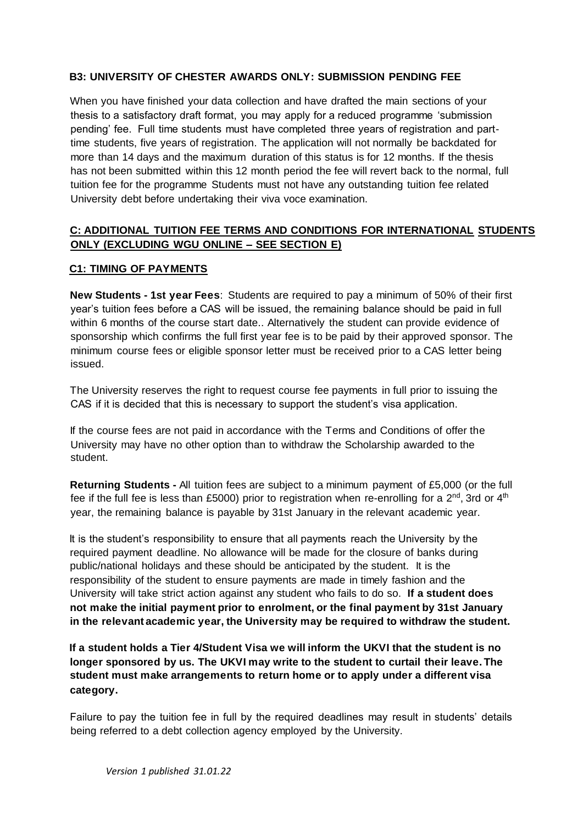### **B3: UNIVERSITY OF CHESTER AWARDS ONLY: SUBMISSION PENDING FEE**

When you have finished your data collection and have drafted the main sections of your thesis to a satisfactory draft format, you may apply for a reduced programme 'submission pending' fee. Full time students must have completed three years of registration and parttime students, five years of registration. The application will not normally be backdated for more than 14 days and the maximum duration of this status is for 12 months. If the thesis has not been submitted within this 12 month period the fee will revert back to the normal, full tuition fee for the programme Students must not have any outstanding tuition fee related University debt before undertaking their viva voce examination.

# **ONLY (EXCLUDING WGU ONLINE – SEE SECTION E) C1: TIMING OF PAYMENTS C: ADDITIONAL TUITION FEE TERMS AND CONDITIONS FOR INTERNATIONAL STUDENTS**

**New Students - 1st year Fees**: Students are required to pay a minimum of 50% of their first year's tuition fees before a CAS will be issued, the remaining balance should be paid in full within 6 months of the course start date.. Alternatively the student can provide evidence of sponsorship which confirms the full first year fee is to be paid by their approved sponsor. The minimum course fees or eligible sponsor letter must be received prior to a CAS letter being issued.

The University reserves the right to request course fee payments in full prior to issuing the CAS if it is decided that this is necessary to support the student's visa application.

 University may have no other option than to withdraw the Scholarship awarded to the If the course fees are not paid in accordance with the Terms and Conditions of offer the student.

**Returning Students -** All tuition fees are subject to a minimum payment of £5,000 (or the full fee if the full fee is less than £5000) prior to registration when re-enrolling for a  $2^{nd}$ , 3rd or  $4^{th}$ year, the remaining balance is payable by 31st January in the relevant academic year.

 required payment deadline. No allowance will be made for the closure of banks during  **not make the initial payment prior to enrolment, or the final payment by 31st January in the relevant academic year, the University may be required to withdraw the student.**  It is the student's responsibility to ensure that all payments reach the University by the public/national holidays and these should be anticipated by the student. It is the responsibility of the student to ensure payments are made in timely fashion and the University will take strict action against any student who fails to do so. **If a student does** 

 **longer sponsored by us. The UKVI may write to the student to curtail their leave. The If a student holds a Tier 4/Student Visa we will inform the UKVI that the student is no student must make arrangements to return home or to apply under a different visa category.** 

Failure to pay the tuition fee in full by the required deadlines may result in students' details being referred to a debt collection agency employed by the University.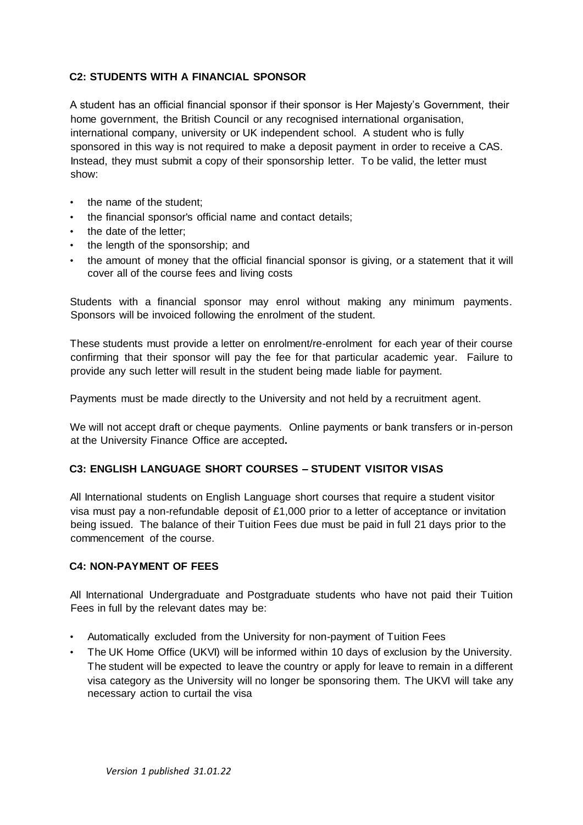# **C2: STUDENTS WITH A FINANCIAL SPONSOR**

 international company, university or UK independent school. A student who is fully A student has an official financial sponsor if their sponsor is Her Majesty's Government, their home government, the British Council or any recognised international organisation, sponsored in this way is not required to make a deposit payment in order to receive a CAS. Instead, they must submit a copy of their sponsorship letter. To be valid, the letter must show:

- the name of the student;
- the financial sponsor's official name and contact details;
- the date of the letter:
- the length of the sponsorship; and
- the amount of money that the official financial sponsor is giving, or a statement that it will cover all of the course fees and living costs

 Students with a financial sponsor may enrol without making any minimum payments. Sponsors will be invoiced following the enrolment of the student.

These students must provide a letter on enrolment/re-enrolment for each year of their course confirming that their sponsor will pay the fee for that particular academic year. Failure to provide any such letter will result in the student being made liable for payment.

Payments must be made directly to the University and not held by a recruitment agent.

 We will not accept draft or cheque payments. Online payments or bank transfers or in-person at the University Finance Office are accepted**.** 

#### **C3: ENGLISH LANGUAGE SHORT COURSES – STUDENT VISITOR VISAS**

All International students on English Language short courses that require a student visitor visa must pay a non-refundable deposit of £1,000 prior to a letter of acceptance or invitation being issued. The balance of their Tuition Fees due must be paid in full 21 days prior to the commencement of the course.

# **C4: NON-PAYMENT OF FEES**

All International Undergraduate and Postgraduate students who have not paid their Tuition Fees in full by the relevant dates may be:

- Automatically excluded from the University for non-payment of Tuition Fees
- • The UK Home Office (UKVI) will be informed within 10 days of exclusion by the University. The student will be expected to leave the country or apply for leave to remain in a different visa category as the University will no longer be sponsoring them. The UKVI will take any necessary action to curtail the visa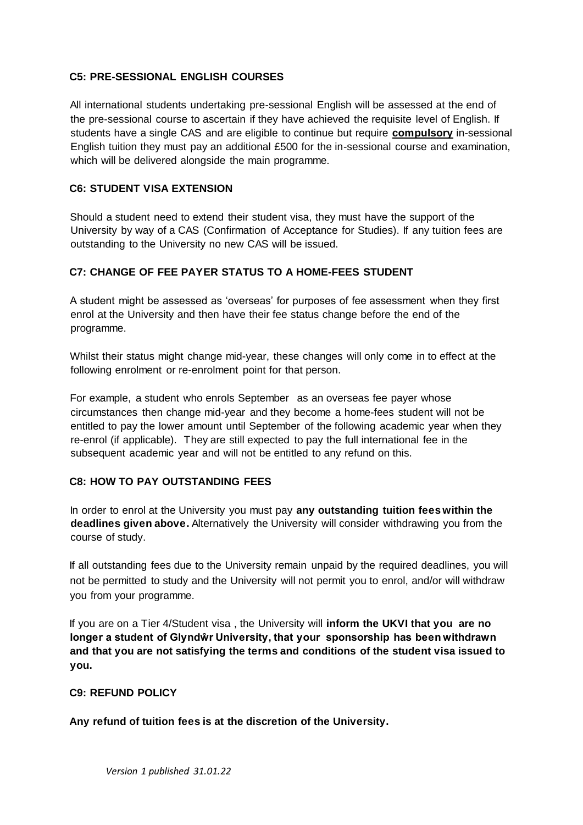#### **C5: PRE-SESSIONAL ENGLISH COURSES**

All international students undertaking pre-sessional English will be assessed at the end of the pre-sessional course to ascertain if they have achieved the requisite level of English. If students have a single CAS and are eligible to continue but require **compulsory** in-sessional English tuition they must pay an additional £500 for the in-sessional course and examination, which will be delivered alongside the main programme.

#### **C6: STUDENT VISA EXTENSION**

Should a student need to extend their student visa, they must have the support of the University by way of a CAS (Confirmation of Acceptance for Studies). If any tuition fees are outstanding to the University no new CAS will be issued.

#### **C7: CHANGE OF FEE PAYER STATUS TO A HOME-FEES STUDENT**

A student might be assessed as 'overseas' for purposes of fee assessment when they first enrol at the University and then have their fee status change before the end of the programme.

following enrolment or re-enrolment point for that person. Whilst their status might change mid-year, these changes will only come in to effect at the

For example, a student who enrols September as an overseas fee payer whose circumstances then change mid-year and they become a home-fees student will not be entitled to pay the lower amount until September of the following academic year when they re-enrol (if applicable). They are still expected to pay the full international fee in the subsequent academic year and will not be entitled to any refund on this.

#### **C8: HOW TO PAY OUTSTANDING FEES**

In order to enrol at the University you must pay **any outstanding tuition fees within the deadlines given above.** Alternatively the University will consider withdrawing you from the course of study.

If all outstanding fees due to the University remain unpaid by the required deadlines, you will not be permitted to study and the University will not permit you to enrol, and/or will withdraw you from your programme.

If you are on a Tier 4/Student visa , the University will **inform the UKVI that you are no longer a student of Glyndŵr University, that your sponsorship has been withdrawn and that you are not satisfying the terms and conditions of the student visa issued to you.** 

#### **C9: REFUND POLICY**

**Any refund of tuition fees is at the discretion of the University.**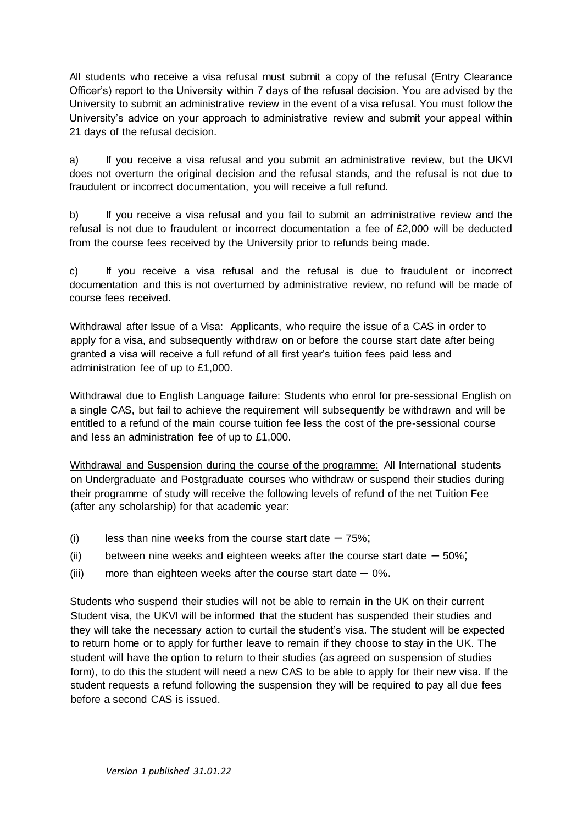All students who receive a visa refusal must submit a copy of the refusal (Entry Clearance Officer's) report to the University within 7 days of the refusal decision. You are advised by the University to submit an administrative review in the event of a visa refusal. You must follow the University's advice on your approach to administrative review and submit your appeal within 21 days of the refusal decision.

a) If you receive a visa refusal and you submit an administrative review, but the UKVI does not overturn the original decision and the refusal stands, and the refusal is not due to fraudulent or incorrect documentation, you will receive a full refund.

b) If you receive a visa refusal and you fail to submit an administrative review and the refusal is not due to fraudulent or incorrect documentation a fee of £2,000 will be deducted from the course fees received by the University prior to refunds being made.

c) If you receive a visa refusal and the refusal is due to fraudulent or incorrect documentation and this is not overturned by administrative review, no refund will be made of course fees received.

Withdrawal after Issue of a Visa: Applicants, who require the issue of a CAS in order to apply for a visa, and subsequently withdraw on or before the course start date after being granted a visa will receive a full refund of all first year's tuition fees paid less and administration fee of up to £1,000.

Withdrawal due to English Language failure: Students who enrol for pre-sessional English on a single CAS, but fail to achieve the requirement will subsequently be withdrawn and will be entitled to a refund of the main course tuition fee less the cost of the pre-sessional course and less an administration fee of up to £1,000.

 their programme of study will receive the following levels of refund of the net Tuition Fee Withdrawal and Suspension during the course of the programme: All International students on Undergraduate and Postgraduate courses who withdraw or suspend their studies during (after any scholarship) for that academic year:

- (i) less than nine weeks from the course start date  $-75\%$ ;
- (ii) between nine weeks and eighteen weeks after the course start date  $-50\%$ ;
- (iii) more than eighteen weeks after the course start date  $-0\%$ .

Students who suspend their studies will not be able to remain in the UK on their current Student visa, the UKVI will be informed that the student has suspended their studies and they will take the necessary action to curtail the student's visa. The student will be expected to return home or to apply for further leave to remain if they choose to stay in the UK. The student will have the option to return to their studies (as agreed on suspension of studies form), to do this the student will need a new CAS to be able to apply for their new visa. If the student requests a refund following the suspension they will be required to pay all due fees before a second CAS is issued.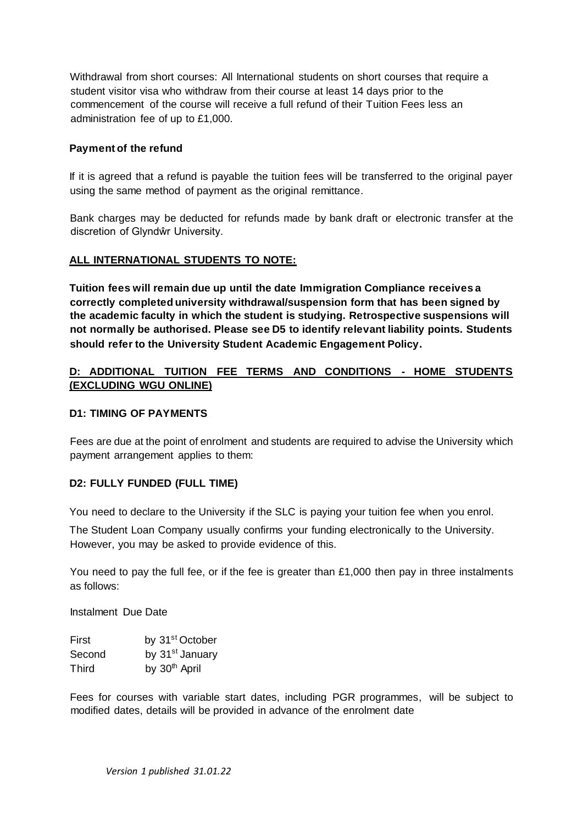Withdrawal from short courses: All International students on short courses that require a student visitor visa who withdraw from their course at least 14 days prior to the commencement of the course will receive a full refund of their Tuition Fees less an administration fee of up to £1,000.

#### **Payment of the refund**

using the same method of payment as the original remittance. If it is agreed that a refund is payable the tuition fees will be transferred to the original payer

Bank charges may be deducted for refunds made by bank draft or electronic transfer at the discretion of Glyndŵr University.

#### **ALL INTERNATIONAL STUDENTS TO NOTE:**

 **Tuition fees will remain due up until the date Immigration Compliance receives a not normally be authorised. Please see D5 to identify relevant liability points. Students correctly completed university withdrawal/suspension form that has been signed by the academic faculty in which the student is studying. Retrospective suspensions will should refer to the University Student Academic Engagement Policy.** 

#### **D: ADDITIONAL TUITION FEE TERMS AND CONDITIONS - HOME STUDENTS (EXCLUDING WGU ONLINE)**

#### **D1: TIMING OF PAYMENTS**

Fees are due at the point of enrolment and students are required to advise the University which payment arrangement applies to them:

#### **D2: FULLY FUNDED (FULL TIME)**

You need to declare to the University if the SLC is paying your tuition fee when you enrol.

The Student Loan Company usually confirms your funding electronically to the University. However, you may be asked to provide evidence of this.

You need to pay the full fee, or if the fee is greater than  $£1,000$  then pay in three instalments as follows:

Instalment Due Date

| First  | by 31 <sup>st</sup> October |
|--------|-----------------------------|
| Second | by 31 <sup>st</sup> January |
| Third  | by 30 <sup>th</sup> April   |

Fees for courses with variable start dates, including PGR programmes, will be subject to modified dates, details will be provided in advance of the enrolment date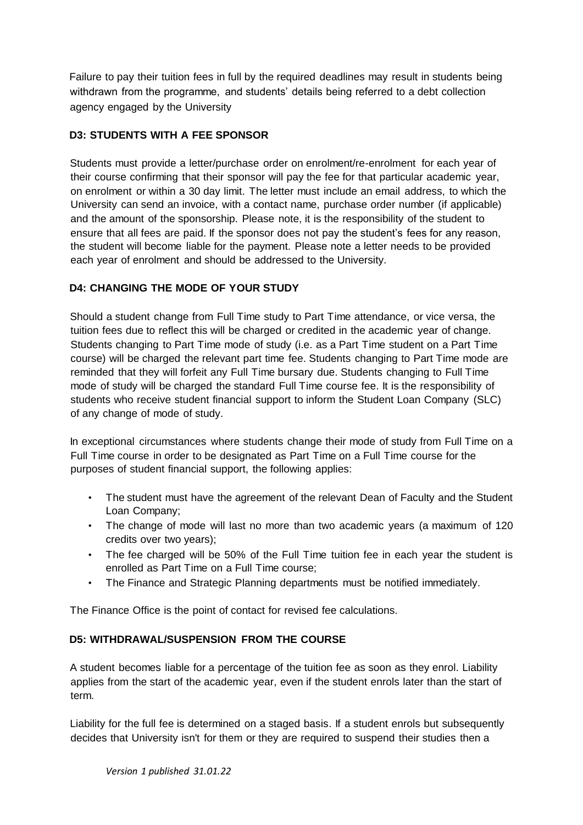withdrawn from the programme, and students' details being referred to a debt collection Failure to pay their tuition fees in full by the required deadlines may result in students being agency engaged by the University

# **D3: STUDENTS WITH A FEE SPONSOR**

Students must provide a letter/purchase order on enrolment/re-enrolment for each year of their course confirming that their sponsor will pay the fee for that particular academic year, on enrolment or within a 30 day limit. The letter must include an email address, to which the University can send an invoice, with a contact name, purchase order number (if applicable) and the amount of the sponsorship. Please note, it is the responsibility of the student to ensure that all fees are paid. If the sponsor does not pay the student's fees for any reason, the student will become liable for the payment. Please note a letter needs to be provided each year of enrolment and should be addressed to the University.

# **D4: CHANGING THE MODE OF YOUR STUDY**

Should a student change from Full Time study to Part Time attendance, or vice versa, the tuition fees due to reflect this will be charged or credited in the academic year of change. Students changing to Part Time mode of study (i.e. as a Part Time student on a Part Time course) will be charged the relevant part time fee. Students changing to Part Time mode are reminded that they will forfeit any Full Time bursary due. Students changing to Full Time mode of study will be charged the standard Full Time course fee. It is the responsibility of students who receive student financial support to inform the Student Loan Company (SLC) of any change of mode of study.

In exceptional circumstances where students change their mode of study from Full Time on a Full Time course in order to be designated as Part Time on a Full Time course for the purposes of student financial support, the following applies:

- The student must have the agreement of the relevant Dean of Faculty and the Student Loan Company;
- The change of mode will last no more than two academic years (a maximum of 120 credits over two years);
- The fee charged will be 50% of the Full Time tuition fee in each year the student is enrolled as Part Time on a Full Time course;
- The Finance and Strategic Planning departments must be notified immediately.

The Finance Office is the point of contact for revised fee calculations.

#### **D5: WITHDRAWAL/SUSPENSION FROM THE COURSE**

A student becomes liable for a percentage of the tuition fee as soon as they enrol. Liability applies from the start of the academic year, even if the student enrols later than the start of term.

Liability for the full fee is determined on a staged basis. If a student enrols but subsequently decides that University isn't for them or they are required to suspend their studies then a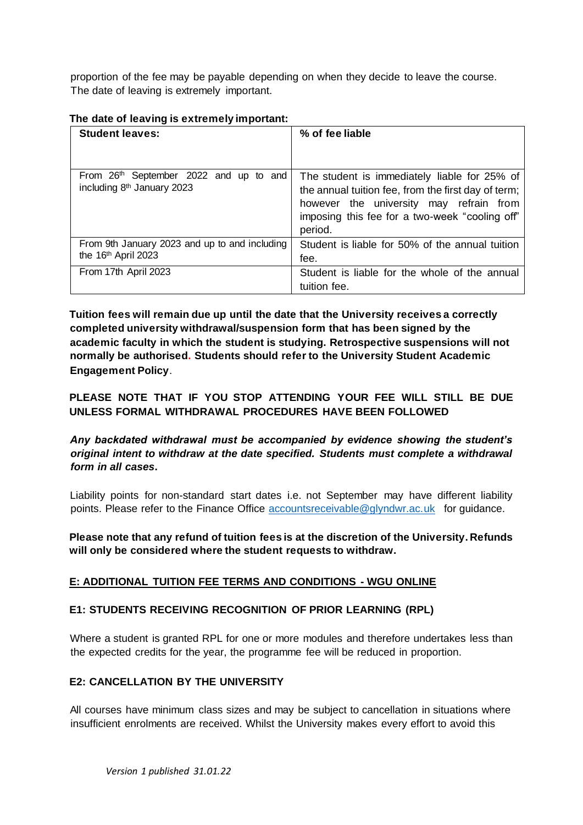proportion of the fee may be payable depending on when they decide to leave the course. The date of leaving is extremely important.

| <b>Student leaves:</b>                                                                       | % of fee liable                                                                                                                                                                                             |
|----------------------------------------------------------------------------------------------|-------------------------------------------------------------------------------------------------------------------------------------------------------------------------------------------------------------|
|                                                                                              |                                                                                                                                                                                                             |
| From 26 <sup>th</sup> September 2022 and up to and<br>including 8 <sup>th</sup> January 2023 | The student is immediately liable for 25% of<br>the annual tuition fee, from the first day of term;<br>however the university may refrain from<br>imposing this fee for a two-week "cooling off"<br>period. |
| From 9th January 2023 and up to and including<br>the 16th April 2023                         | Student is liable for 50% of the annual tuition<br>fee.                                                                                                                                                     |
| From 17th April 2023                                                                         | Student is liable for the whole of the annual<br>tuition fee.                                                                                                                                               |

#### **The date of leaving is extremely important:**

 **normally be authorised. Students should refer to the University Student Academic Engagement Policy**. **Tuition fees will remain due up until the date that the University receives a correctly completed university withdrawal/suspension form that has been signed by the academic faculty in which the student is studying. Retrospective suspensions will not** 

# **PLEASE NOTE THAT IF YOU STOP ATTENDING YOUR FEE WILL STILL BE DUE UNLESS FORMAL WITHDRAWAL PROCEDURES HAVE BEEN FOLLOWED**

# *Any backdated withdrawal must be accompanied by evidence showing the student's original intent to withdraw at the date specified. Students must complete a withdrawal form in all cases***.**

points. Please refer to the Finance Office **accountsreceivable@glyndwr.ac.uk** for guidance. Liability points for non-standard start dates i.e. not September may have different liability

 **Please note that any refund of tuition fees is at the discretion of the University. Refunds will only be considered where the student requests to withdraw.** 

#### **E: ADDITIONAL TUITION FEE TERMS AND CONDITIONS - WGU ONLINE**

#### **E1: STUDENTS RECEIVING RECOGNITION OF PRIOR LEARNING (RPL)**

Where a student is granted RPL for one or more modules and therefore undertakes less than the expected credits for the year, the programme fee will be reduced in proportion.

#### **E2: CANCELLATION BY THE UNIVERSITY**

All courses have minimum class sizes and may be subject to cancellation in situations where insufficient enrolments are received. Whilst the University makes every effort to avoid this